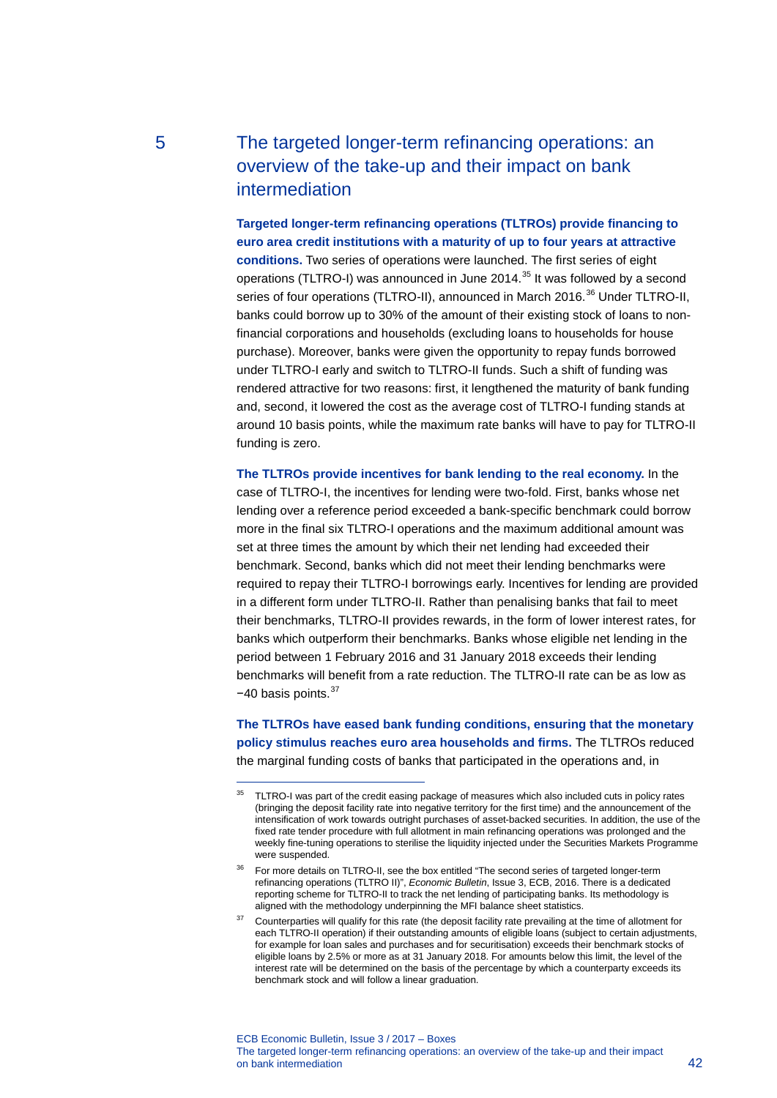# 5 The targeted longer-term refinancing operations: an overview of the take-up and their impact on bank intermediation

**Targeted longer-term refinancing operations (TLTROs) provide financing to euro area credit institutions with a maturity of up to four years at attractive conditions.** Two series of operations were launched. The first series of eight operations (TLTRO-I) was announced in June 2014.<sup>[35](#page-0-0)</sup> It was followed by a second series of four operations (TLTRO-II), announced in March 2016.<sup>[36](#page-0-1)</sup> Under TLTRO-II, banks could borrow up to 30% of the amount of their existing stock of loans to nonfinancial corporations and households (excluding loans to households for house purchase). Moreover, banks were given the opportunity to repay funds borrowed under TLTRO-I early and switch to TLTRO-II funds. Such a shift of funding was rendered attractive for two reasons: first, it lengthened the maturity of bank funding and, second, it lowered the cost as the average cost of TLTRO-I funding stands at around 10 basis points, while the maximum rate banks will have to pay for TLTRO-II funding is zero.

**The TLTROs provide incentives for bank lending to the real economy.** In the case of TLTRO-I, the incentives for lending were two-fold. First, banks whose net lending over a reference period exceeded a bank-specific benchmark could borrow more in the final six TLTRO-I operations and the maximum additional amount was set at three times the amount by which their net lending had exceeded their benchmark. Second, banks which did not meet their lending benchmarks were required to repay their TLTRO-I borrowings early. Incentives for lending are provided in a different form under TLTRO-II. Rather than penalising banks that fail to meet their benchmarks, TLTRO-II provides rewards, in the form of lower interest rates, for banks which outperform their benchmarks. Banks whose eligible net lending in the period between 1 February 2016 and 31 January 2018 exceeds their lending benchmarks will benefit from a rate reduction. The TLTRO-II rate can be as low as −40 basis points.[37](#page-0-2)

**The TLTROs have eased bank funding conditions, ensuring that the monetary policy stimulus reaches euro area households and firms.** The TLTROs reduced the marginal funding costs of banks that participated in the operations and, in

ECB Economic Bulletin, Issue 3 / 2017 – Boxes The targeted longer-term refinancing operations: an overview of the take-up and their impact on bank intermediation and the contract of the contract of the contract of the contract of the contract of the contract of the contract of the contract of the contract of the contract of the contract of the contract of the

-

<span id="page-0-0"></span><sup>&</sup>lt;sup>35</sup> TLTRO-I was part of the credit easing package of measures which also included cuts in policy rates (bringing the deposit facility rate into negative territory for the first time) and the announcement of the intensification of work towards outright purchases of asset-backed securities. In addition, the use of the fixed rate tender procedure with full allotment in main refinancing operations was prolonged and the weekly fine-tuning operations to sterilise the liquidity injected under the Securities Markets Programme were suspended.

<span id="page-0-1"></span><sup>&</sup>lt;sup>36</sup> For more details on TLTRO-II, see the box entitled "The second series of targeted longer-term refinancing operations (TLTRO II)", *Economic Bulletin*, Issue 3, ECB, 2016. There is a dedicated reporting scheme for TLTRO-II to track the net lending of participating banks. Its methodology is aligned with the methodology underpinning the MFI balance sheet statistics.

<span id="page-0-2"></span><sup>&</sup>lt;sup>37</sup> Counterparties will qualify for this rate (the deposit facility rate prevailing at the time of allotment for each TLTRO-II operation) if their outstanding amounts of eligible loans (subject to certain adjustments, for example for loan sales and purchases and for securitisation) exceeds their benchmark stocks of eligible loans by 2.5% or more as at 31 January 2018. For amounts below this limit, the level of the interest rate will be determined on the basis of the percentage by which a counterparty exceeds its benchmark stock and will follow a linear graduation.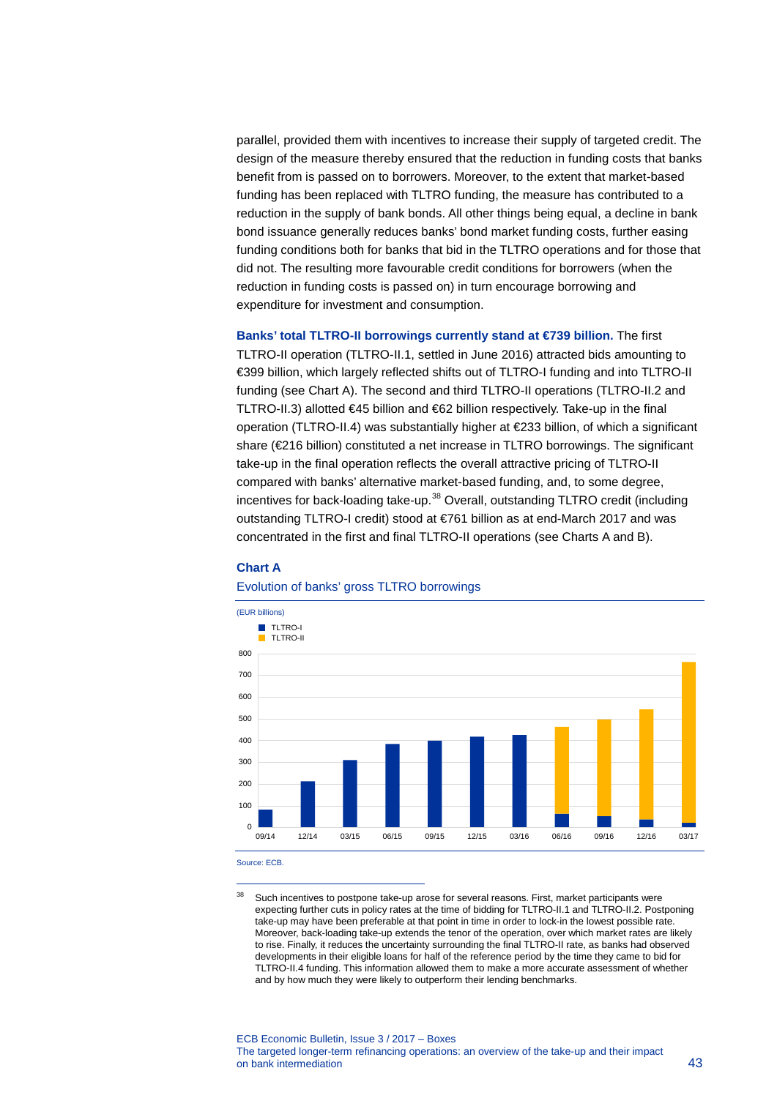parallel, provided them with incentives to increase their supply of targeted credit. The design of the measure thereby ensured that the reduction in funding costs that banks benefit from is passed on to borrowers. Moreover, to the extent that market-based funding has been replaced with TLTRO funding, the measure has contributed to a reduction in the supply of bank bonds. All other things being equal, a decline in bank bond issuance generally reduces banks' bond market funding costs, further easing funding conditions both for banks that bid in the TLTRO operations and for those that did not. The resulting more favourable credit conditions for borrowers (when the reduction in funding costs is passed on) in turn encourage borrowing and expenditure for investment and consumption.

**Banks' total TLTRO-II borrowings currently stand at €739 billion.** The first TLTRO-II operation (TLTRO-II.1, settled in June 2016) attracted bids amounting to €399 billion, which largely reflected shifts out of TLTRO-I funding and into TLTRO-II funding (see Chart A). The second and third TLTRO-II operations (TLTRO-II.2 and TLTRO-II.3) allotted €45 billion and €62 billion respectively. Take-up in the final operation (TLTRO-II.4) was substantially higher at €233 billion, of which a significant share (€216 billion) constituted a net increase in TLTRO borrowings. The significant take-up in the final operation reflects the overall attractive pricing of TLTRO-II compared with banks' alternative market-based funding, and, to some degree, incentives for back-loading take-up. $38$  Overall, outstanding TLTRO credit (including outstanding TLTRO-I credit) stood at €761 billion as at end-March 2017 and was concentrated in the first and final TLTRO-II operations (see Charts A and B).

## **Chart A**



## Evolution of banks' gross TLTRO borrowings

Source: ECB.

-

<span id="page-1-0"></span><sup>&</sup>lt;sup>38</sup> Such incentives to postpone take-up arose for several reasons. First, market participants were expecting further cuts in policy rates at the time of bidding for TLTRO-II.1 and TLTRO-II.2. Postponing take-up may have been preferable at that point in time in order to lock-in the lowest possible rate. Moreover, back-loading take-up extends the tenor of the operation, over which market rates are likely to rise. Finally, it reduces the uncertainty surrounding the final TLTRO-II rate, as banks had observed developments in their eligible loans for half of the reference period by the time they came to bid for TLTRO-II.4 funding. This information allowed them to make a more accurate assessment of whether and by how much they were likely to outperform their lending benchmarks.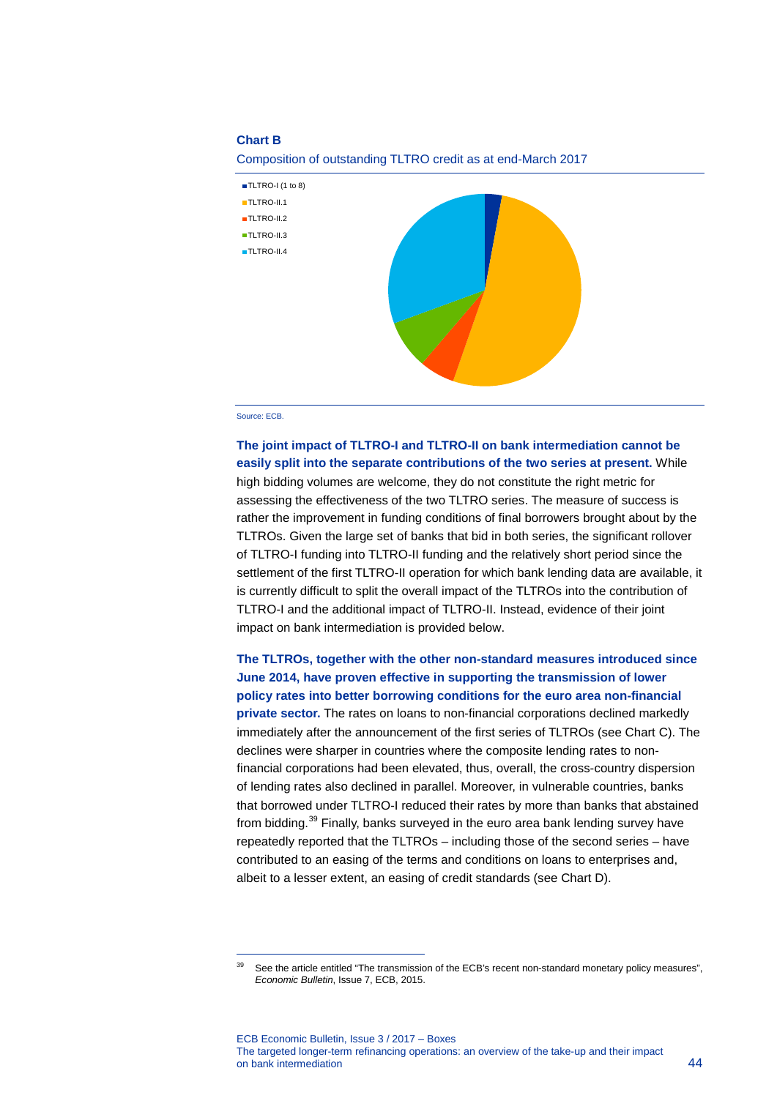### **Chart B**

Composition of outstanding TLTRO credit as at end-March 2017



#### Source: ECB.

<span id="page-2-0"></span>-

**The joint impact of TLTRO-I and TLTRO-II on bank intermediation cannot be easily split into the separate contributions of the two series at present.** While high bidding volumes are welcome, they do not constitute the right metric for assessing the effectiveness of the two TLTRO series. The measure of success is rather the improvement in funding conditions of final borrowers brought about by the TLTROs. Given the large set of banks that bid in both series, the significant rollover of TLTRO-I funding into TLTRO-II funding and the relatively short period since the settlement of the first TLTRO-II operation for which bank lending data are available, it is currently difficult to split the overall impact of the TLTROs into the contribution of TLTRO-I and the additional impact of TLTRO-II. Instead, evidence of their joint impact on bank intermediation is provided below.

**The TLTROs, together with the other non-standard measures introduced since June 2014, have proven effective in supporting the transmission of lower policy rates into better borrowing conditions for the euro area non-financial private sector.** The rates on loans to non-financial corporations declined markedly immediately after the announcement of the first series of TLTROs (see Chart C). The declines were sharper in countries where the composite lending rates to nonfinancial corporations had been elevated, thus, overall, the cross-country dispersion of lending rates also declined in parallel. Moreover, in vulnerable countries, banks that borrowed under TLTRO-I reduced their rates by more than banks that abstained from bidding.[39](#page-2-0) Finally, banks surveyed in the euro area bank lending survey have repeatedly reported that the TLTROs – including those of the second series – have contributed to an easing of the terms and conditions on loans to enterprises and, albeit to a lesser extent, an easing of credit standards (see Chart D).

See the article entitled "The transmission of the ECB's recent non-standard monetary policy measures", *Economic Bulletin*, Issue 7, ECB, 2015.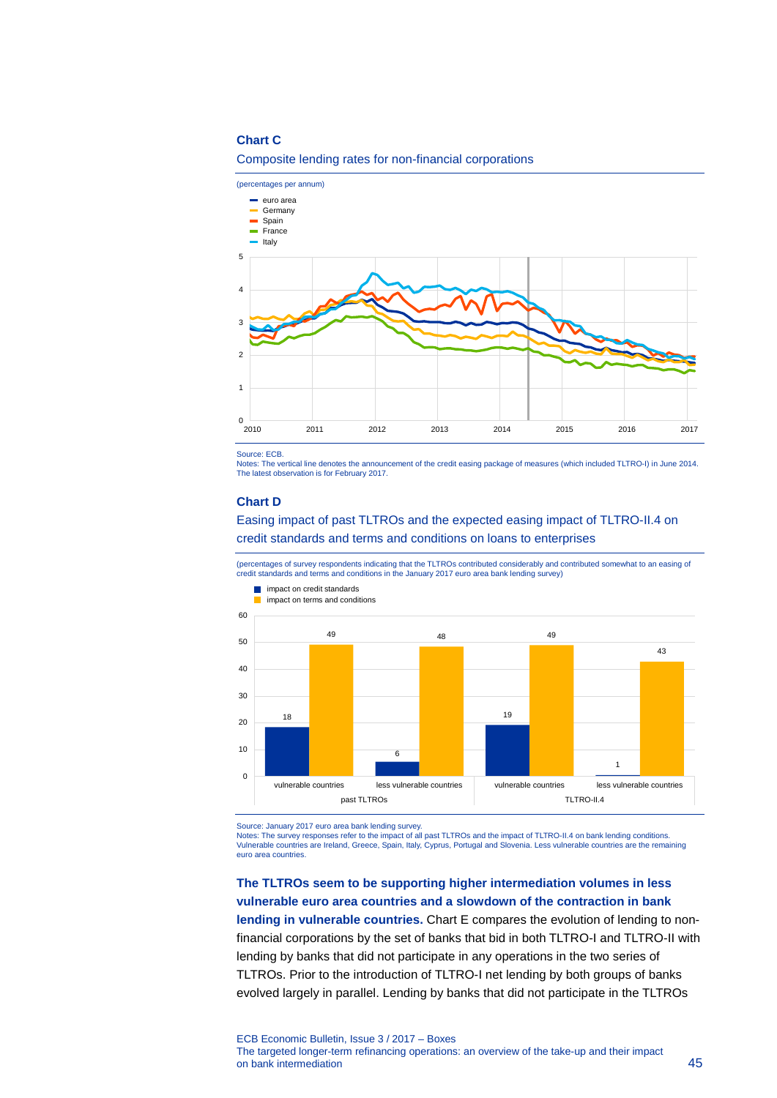## **Chart C**





Source: ECB.

Notes: The vertical line denotes the announcement of the credit easing package of measures (which included TLTRO-I) in June 2014. The latest observation is for February 2017.

#### **Chart D**

## Easing impact of past TLTROs and the expected easing impact of TLTRO-II.4 on credit standards and terms and conditions on loans to enterprises

(percentages of survey respondents indicating that the TLTROs contributed considerably and contributed somewhat to an easing of credit standards and terms and conditions in the January 2017 euro area bank lending survey)



Source: January 2017 euro area bank lending survey. Notes: The survey responses refer to the impact of all past TLTROs and the impact of TLTRO-II.4 on bank lending conditions. Vulnerable countries are Ireland, Greece, Spain, Italy, Cyprus, Portugal and Slovenia. Less vulnerable countries are the remaining euro area countries.

# **The TLTROs seem to be supporting higher intermediation volumes in less vulnerable euro area countries and a slowdown of the contraction in bank**

**lending in vulnerable countries.** Chart E compares the evolution of lending to nonfinancial corporations by the set of banks that bid in both TLTRO-I and TLTRO-II with lending by banks that did not participate in any operations in the two series of TLTROs. Prior to the introduction of TLTRO-I net lending by both groups of banks evolved largely in parallel. Lending by banks that did not participate in the TLTROs

ECB Economic Bulletin, Issue 3 / 2017 – Boxes The targeted longer-term refinancing operations: an overview of the take-up and their impact on bank intermediation 45